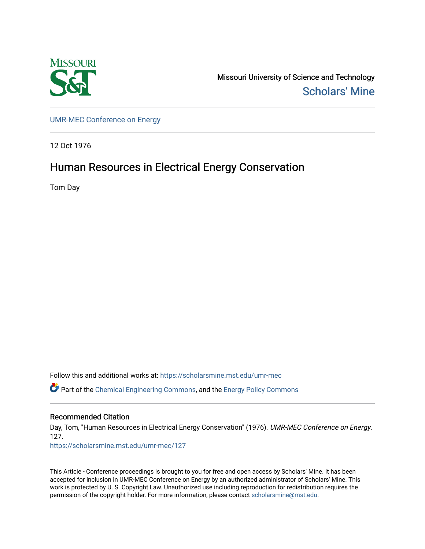

Missouri University of Science and Technology [Scholars' Mine](https://scholarsmine.mst.edu/) 

[UMR-MEC Conference on Energy](https://scholarsmine.mst.edu/umr-mec)

12 Oct 1976

# Human Resources in Electrical Energy Conservation

Tom Day

Follow this and additional works at: [https://scholarsmine.mst.edu/umr-mec](https://scholarsmine.mst.edu/umr-mec?utm_source=scholarsmine.mst.edu%2Fumr-mec%2F127&utm_medium=PDF&utm_campaign=PDFCoverPages) 

Part of the [Chemical Engineering Commons](http://network.bepress.com/hgg/discipline/240?utm_source=scholarsmine.mst.edu%2Fumr-mec%2F127&utm_medium=PDF&utm_campaign=PDFCoverPages), and the [Energy Policy Commons](http://network.bepress.com/hgg/discipline/1065?utm_source=scholarsmine.mst.edu%2Fumr-mec%2F127&utm_medium=PDF&utm_campaign=PDFCoverPages)

# Recommended Citation

Day, Tom, "Human Resources in Electrical Energy Conservation" (1976). UMR-MEC Conference on Energy. 127. [https://scholarsmine.mst.edu/umr-mec/127](https://scholarsmine.mst.edu/umr-mec/127?utm_source=scholarsmine.mst.edu%2Fumr-mec%2F127&utm_medium=PDF&utm_campaign=PDFCoverPages) 

This Article - Conference proceedings is brought to you for free and open access by Scholars' Mine. It has been accepted for inclusion in UMR-MEC Conference on Energy by an authorized administrator of Scholars' Mine. This work is protected by U. S. Copyright Law. Unauthorized use including reproduction for redistribution requires the permission of the copyright holder. For more information, please contact [scholarsmine@mst.edu](mailto:scholarsmine@mst.edu).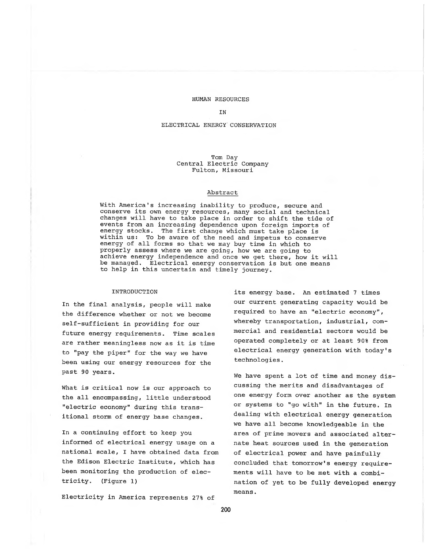### HUMAN RESOURCES

#### IN

# ELECTRICAL ENERGY' CONSERVATION

#### Tom Day Central Electric Company Fulton, Missouri

#### Abstract

With America's increasing inability to produce, secure and conserve its own energy resources, many social and technical changes will have to take place in order to shift the tide of events from an increasing dependence upon foreign imports of energy stocks. The first change which must take place is The first change which must take place is within us: To be aware of the need and impetus to conserve energy of all forms so that we may buy time in which to properly assess where we are going, how we are going to achieve energy independence and once we get there, how it will be managed. Electrical energy conservation is but one means to help in this uncertain and timely journey.

### INTRODUCTION

In the final analysis, people will make the difference whether or not we become self-sufficient in providing for our future energy requirements. Time scales are rather meaningless now as it is time to "pay the piper" for the way we have been using our energy resources for the past 90 years.

What is critical now is our approach to the all encompassing, little understood "electric economy" during this transitional storm of energy base changes.

In a continuing effort to keep you informed of electrical energy usage on a national scale, I have obtained data from the Edison Electric Institute, which has been monitoring the production of electricity. (Figure 1)

Electricity in America represents 27% of

its energy base. An estimated 7 times our current generating capacity would be required to have an "electric economy", whereby transportation, industrial, commercial and residential sectors would be operated completely or at least 90% from electrical energy generation with today's technologies.

We have spent a lot of time and money discussing the merits and disadvantages of one energy form over another as the system or systems to "go with" in the future. In dealing with electrical energy generation we have all become knowledgeable in the area of prime movers and associated alternate heat sources used in the generation of electrical power and have painfully concluded that tomorrow's energy requirements will have to be met with a combination of yet to be fully developed energy means.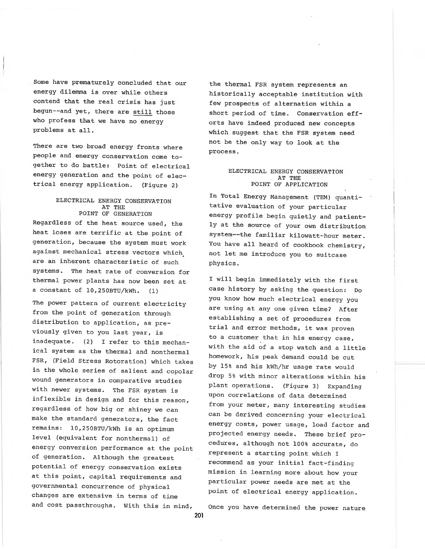Some have prematurely concluded that our energy dilemma is over while others contend that the real crisis has just begun— and yet, there are still those who profess that we have no energy problems at all.

There are two broad energy fronts where people and energy conservation come together to do battle: Point of electrical energy generation and the point of electrical energy application. (Figure 2)

# ELECTRICAL ENERGY CONSERVATION AT THE POINT OF GENERATION

Regardless of the heat source used, the heat loses are terrific at the point of generation, because the system must work against mechanical stress vectors which are an inherent characteristic of such systems. The heat rate of conversion for thermal power plants has now been set at a constant of  $10,250$ BTU/kWh.  $(1)$ 

The power pattern of current electricity from the point of generation through distribution to application, as previously given to you last year, is inadequate. (2) I refer to this mechanical system as the thermal and nonthermal FSR, (Field Stress Rotoration) which takes in the whole series of salient and copolar wound generators in comparative studies with newer systems. The FSR system is inflexible in design and for this reason, regardless of how big or shiney we can make the standard generators, the fact remains: 10,250BTU/kWh is an optimum level (equivalent for nonthermal) of energy conversion performance at the point of generation. Although the greatest potential of energy conservation exists at this point, capital requirements and governmental concurrence of physical changes are extensive in terms of time and cost passthroughs. With this in mind,

the thermal FSR system represents an historically acceptable institution with few prospects of alternation within a short period of time. Conservation efforts have indeed produced new concepts which suggest that the FSR system need not be the only way to look at the process.

# ELECTRICAL ENERGY CONSERVATION AT THE POINT OF APPLICATION

In Total Energy Management (TEM) quantitative evaluation of your particular energy profile begin quietly and patiently at the source of your own distribution system -- the familiar kilowatt-hour meter. You have all heard of cookbook chemistry, not let me introduce you to suitcase physics.

I will begin immediately with the first case history by asking the question: Do you know how much electrical energy you are using at any one given time? After establishing a set of procedures from trial and error methods, it was proven to a customer that in his energy case, with the aid of a stop watch and a little homework, his peak demand could be cut by 15% and his kwh/hr usage rate would drop 5% with minor alterations within his plant operations. (Figure 3) Expanding upon correlations of data determined from your meter, many interesting studies can be derived concerning your electrical energy costs, power usage, load factor and projected energy needs. These brief procedures, although not 100% accurate, do represent a starting point which I recommend as your initial fact-finding mission in learning more about how your particular power needs are met at the point of electrical energy application.

Once you have determined the power nature

201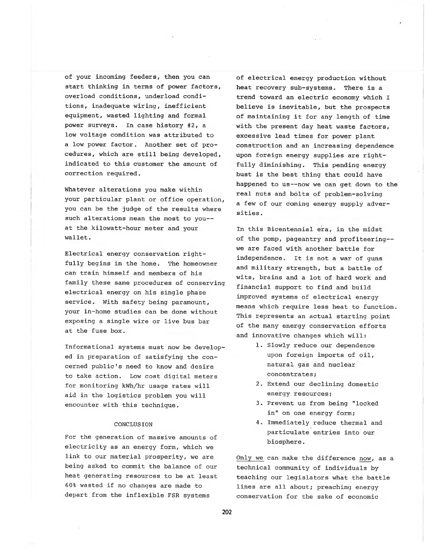of your incoming feeders, then you can start thinking in terms of power factors, overload conditions, underload conditions, inadequate wiring, inefficient equipment, wasted lighting and formal power surveys. In case history #2, a low voltage condition was attributed to a low power factor. Another set of procedures, which are still being developed, indicated to this customer the amount of correction required.

Whatever alterations you make within your particular plant or office operation, you can be the judge of the results where such alterations mean the most to you-at the kilowatt-hour meter and your wallet.

Electrical energy conservation rightfully begins in the home. The homeowner can train himself and members of his family these same procedures of conserving electrical energy on his single phase service. With safety being paramount, your in-home studies can be done without exposing a single wire or live bus bar at the fuse box.

Informational systems must now be developed in preparation of satisfying the concerned public's need to know and desire to take action. Low cost digital meters for monitoring kwh/hr usage rates will aid in the logistics problem you will encounter with this technique.

# CONCLUSION

For the generation of massive amounts of electricity as an energy form, which we link to our material prosperity, we are being asked to commit the balance of our heat generating resources to be at least 60% wasted if no changes are made to depart from the inflexible FSR systems

of electrical energy production without heat recovery sub-systems. There is a trend toward an electric economy which I believe is inevitable, but the prospects of maintaining it for any length of time with the present day heat waste factors, excessive lead times for power plant construction and an increasing dependence upon foreign energy supplies are rightfully diminishing. This pending energy bust is the best thing that could have happened to us--now we can get down to the real nuts and bolts of problem-solving a few of our coming energy supply adversities .

In this Bicentennial era, in the midst of the pomp, pageantry and profiteering we are faced with another battle for independence. It is not a war of guns and military strength, but a battle of wits, brains and a lot of hard work and financial support to find and build improved systems of electrical energy means which require less heat to function. This represents an actual starting point of the many energy conservation efforts and innovative changes which will:

- 1. Slowly reduce our dependence upon foreign imports of oil, natural gas and nuclear concentrates;
- 2. Extend our declining domestic energy resources;
- 3. Prevent us from being "locked in" on one energy form;
- 4. Immediately reduce thermal and particulate entries into our biosphere.

Only we can make the difference now, as a technical community of individuals by teaching our legislators what the battle lines are all about; preaching energy conservation for the sake of economic